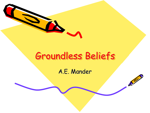

A.E. Mander

 $\mathcal{S}^2$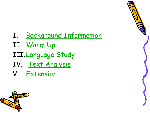

- II. Warm Up
- III. Language Study
- IV. Text Analysis
- V. Extension



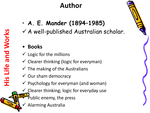- **A. E. Mander (1894–1985)**
- Author<br>A. E. Mander (1894-1985)<br>E. V. A well-published Australian scholar.

#### • **Books**

- $\checkmark$  Logic for the millions
- $\checkmark$  Clearer thinking (logic for everyman)
- $\checkmark$  The making of the Australians
- $\checkmark$  Our sham democracy
- $\checkmark$  Psychology for everyman (and woman)
- $\checkmark$  Clearer thinking; logic for everyday use
	- Public enemy, the press
	- ü Alarming Australia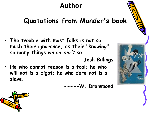# **Author**

# **Quotations from Mander's book**

• **The trouble with most folks is not so much their ignorance, as their "knowing" so many things which ain't so.**

• **He who cannot reason is a fool; he who will not is a bigot; he who dare not is a slave.**

**-----W. Drummond**

**---- Josh Billings**



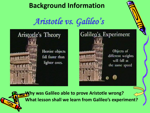### **Background Information**

# *Aristotle vs. Galileo '*



*s* Galileo's Experiment Objects of different weights will fall at the same speed

• **Why was Galileo able to prove Aristotle wrong?** • **What lesson shall we learn from Galileo's experiment?**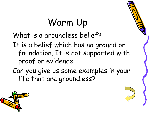# Warm Up

What is a groundless belief? It is a belief which has no ground or foundation. It is not supported with proof or evidence.

Can you give us some examples in your life that are groundless?

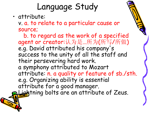# Language Study

• attribute:

v. a. to relate to a particular cause or source;

b. to regard as the work of a specified agent or creator:认为是…所为(所写/所做) e.g. David attributed his company  $\mathsf{S}$ success to the unity of all the staff and their persevering hard work. a symphony attributed to Mozart attribute: n. a quality or feature of sb./sth. e.g. Organizing ability is essential attribute for a good manager. ightning bolts are an attribute of Zeus.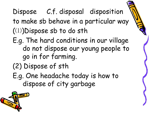# Dispose C.f. disposal disposition to make sb behave in a particular way  $((1))$ Dispose sb to do sth

- E.g. The hard conditions in our village do not dispose our young people to go in for farming.
- (2) Dispose of sth
- E.g. One headache today is how to dispose of city garbage

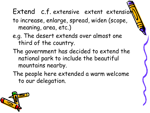# Extend c.f. extensive extent extensiol

- to increase, enlarge, spread, widen (scope, meaning, area, etc.)
- e.g. The desert extends over almost one third of the country.
- The government has decided to extend the national park to include the beautiful mountains nearby.
- The people here extended a warm welcome to our delegation.

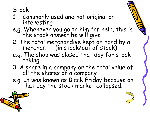Stock

- 1. Commonly used and not original or interesting
- e.g. Whenever you go to him for help, this is  $\mathcal{P}_1$ the stock answer he will give.
- 2. The total merchandise kept on hand by a merchant (in stock/out of stock)
- e.g. The shop was closed that day for stock-<br>taking.
- 3. A share in a company or the total value of all the shares of a company
- e.g. It was known as Black Friday because on that day the stock market collapsed.

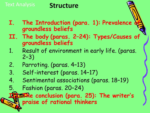# Text Analysis **Structure**

- **I. The Introduction (para. 1): Prevalence of groundless beliefs**
- **II. The body (paras. 2–24): Types/Causes of groundless beliefs**
- 1. Result of environment in early life. (paras. 2–3)
- 2. Parroting. (paras. 4–13)
- 3. Self-interest (paras. 14–17)
- 4. Sentimental associations (paras. 18–19)
- 5. Fashion (paras. 20–24)

**III. The conclusion (para. 25): The writer ' s praise of rational thinkers**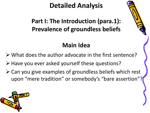### **Part I: The Introduction (para.1): Prevalence of groundless beliefs**

### **Main Idea**

- $\triangleright$  What does the author advocate in the first sentence?
- Ø Have you ever asked yourself these questions?
- $\triangleright$  Can you give examples of groundless beliefs which rest upon "mere tradition" or somebody's "bare assertion"?

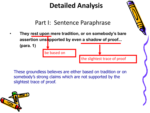Part I: Sentence Paraphrase

• **They rest upon mere tradition, or on somebody's bare assertion unstapported by even a shadow of proof... (para. 1)**

be based on

These groundless believes are either based on tradition or on somebody's strong claims which are not supported by the slightest trace of proof.

the slightest trace of proof

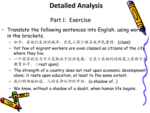### Part I: Exercise

- Translate the following sentences into English, using words in the brackets.
	- 如今,在他们生活的城市,农民工很少被当成市民看待。(class)
	- Yet few of migrant workers are even classed as citizens of the city where they live.
	- 一个国家的实力不只是取决于经济发展;它至少在相同的程度上有赖于其 教育水平。(rest upon)
	- The strength of a country does not rest upon economic development alone; it rests upon education, at least to the same extent.
	- 我们明确地知道, 人的生命从何时开始。(a shadow of...)
	- We know, without a shadow of a doubt, when human life begins。

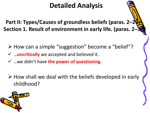**Part II: Types/Causes of groundless beliefs (paras. 2–24) Section 1. Result of environment in early life. (paras. 2–3)**

- Ø How can a simple "suggestion" become a "belief"?
- ü …**uncritically** we accepted and believed it.
- ü …we didn't have **the power of questioning**.
- $\triangleright$  How shall we deal with the beliefs developed in early childhood?

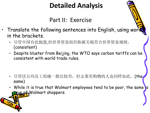### Part II: Exercise

- Franslate the following sentences into English, using words in the brackets.
	- 尽管中国有此抱怨,但世界贸易组织称碳关税符合世界贸易规则。 (consistent)
	- Despite bluster from Beijing, the WTO says carbon tariffs can be consistent with world trade rules.

- 尽管沃尔玛员工的确一般比较穷,但去那里购物的人也同样如此。(the same)
- While it is true that Walmart employees tend to be poor, the same is true of Walmart shoppers.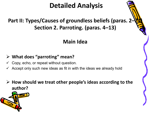#### **Part II: Types/Causes of groundless beliefs (paras. 2–24) Section 2. Parroting. (paras. 4–13)**

#### **Main Idea**

#### Ø **What does "parroting" mean?**

- Copy, echo, or repeat without question.
- $\checkmark$  Accept only such new ideas as fit in with the ideas we already hold

Ø **How should we treat other people's ideas according to the author?**

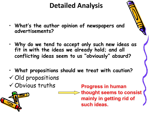- **What' s the author opinion of newspapers and advertisements?**
- **Why do we tend to accept only such new ideas as fit in with the ideas we already hold; and all conflicting ideas seem to us " obviously " absurd?**
- **What propositions should we treat with caution?**  $\checkmark$  Old propositions  $\checkmark$  Obvious truths



**Progress in human thought seems to consist mainly in getting rid of such ideas.**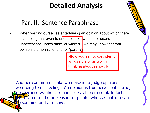### Part II: Sentence Paraphrase

When we find ourselves entertaining an opinion about which there is a feeling that even to enquire into it would be absurd, unnecessary, undesirable, or wicked—we may know that that opinion is a non-rational one. (para. 7)

> allow yourself to consider it as possible or as worth thinking about seriously

Another common mistake we make is to judge opinions according to our feelings. An opinion is true because it is true, not because we like it or find it desirable or useful. In fact, Futh can often be unpleasant or painful whereas untruth can be soothing and attractive.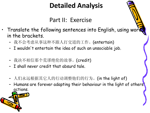### Part II: Exercise

- Franslate the following sentences into English, using words in the brackets.
	- 我不会考虑从事这种不跟人打交道的工作。(entertain)
	- I wouldn 't entertain the idea of such an unsociable job.
	- 我决不相信那个荒谬绝伦的故事。(credit)
	- I shall never credit that absurd tale.
	- 人们永远根据其它人的行动调整他们的行为。(in the light of)
	- Humans are forever adapting their behaviour in the light of others' actions.

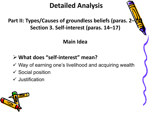#### **Part II: Types/Causes of groundless beliefs (paras. 2–24) Section 3. Self-interest (paras. 14–17)**

#### **Main Idea**

#### Ø **What does "self-interest" mean?**

- $\checkmark$  Way of earning one's livelihood and acquiring wealth
- $\checkmark$  Social position
- $\checkmark$  Justification

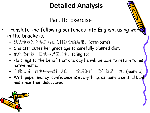### Part II: Exercise

- Franslate the following sentences into English, using word in the brackets.
	- 她认为她的高寿是精心安排饮食的结果。(attribute)
	- She attributes her great age to carefully planned diet.
	- 他坚信有朝一日他会返回故乡。(cling to)
	- He clings to the belief that one day he will be able to return to his native home.
	- 自此以后, 许多中央银行明白了, 流通纸币, 信任就是一切。(many a)
	- With paper money, confidence is everything, as many a central bank has since then discovered.

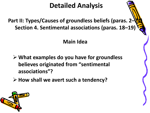#### **Part II: Types/Causes of groundless beliefs (paras. 2–24) Section 4. Sentimental associations (paras. 18–19)**

#### **Main Idea**

Ø **What examples do you have for groundless believes originated from "sentimental associations"?**

Ø **How shall we avert such a tendency?**

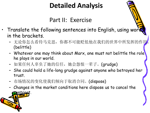### Part II: Exercise

- Franslate the following sentences into English, using words in the brackets.
	- 无论你怎么看待马克思, 你都不可能贬低他在我们的世界中所发挥的作用。 (belittle)
	- Whatever one may think about Marx, one must not belittle the role he plays in our world.
	- 如果任何人辜负了她的信任,她会怨恨一辈子。(grudge)
	- She could hold a life-long grudge against anyone who betrayed her trust.
	- 市场情况的变化使我们倾向于取消合同。(dispose)
	- Changes in the market conditions here dispose us to cancel the phtract

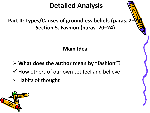#### **Part II: Types/Causes of groundless beliefs (paras. 2–24) Section 5. Fashion (paras. 20–24)**

**Main Idea**

Ø **What does the author mean by "fashion"?**

- $\checkmark$  How others of our own set feel and believe
- $\checkmark$  Habits of thought

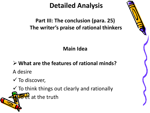#### **Part III: The conclusion (para. 25) The writer's praise of rational thinkers**

**Main Idea**

Ø **What are the features of rational minds?**

A desire

 $\checkmark$  To discover,

 $\checkmark$  To think things out clearly and rationally  $\mathbf{H}$  at the truth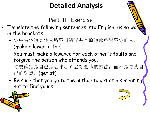Part III: Exercise

- Translate the following sentences into English, using word in the brackets.
	- 你应带体谅其他人所犯得错误并且原谅那些冒犯你的人。 (make allowance for)
	- You must make allowance for each other 's faults and forgive the person who offends you.
	- 你要确定是自己走近作者并去领会他的想法,而不是寻找自 己的观点。(get at)
	- Be sure that you go to the author to get at his meaning, not to find yours.

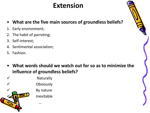# **Extension**

- **Whatare the five main sources of groundless beliefs?**
- 1. Early environment;
- 2. The habit of parroting;
- 3. Self-interest;
- 4. Sentimental association;
- 5. Fashion.
- **Whatwords should we watch out for so as to minimize the influence of groundless beliefs?**

**Naturally Obviously** By nature **Inevitable** ü …